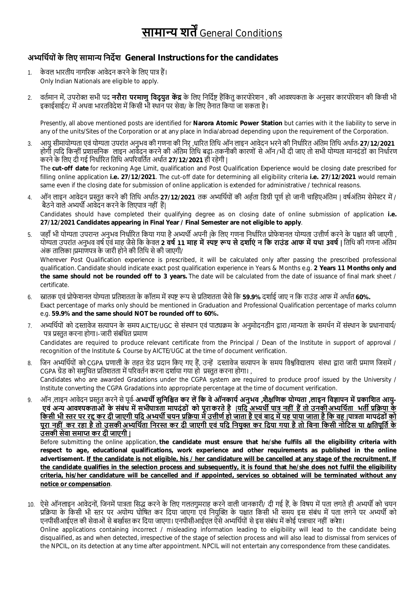## **सामा̢ य शतŒ**General Conditions

## **अɷिथŊयों के िलए सामाɊ िनदőश General Instructions for the candidates**

- 1. के वल भारतीय नागरिक आवेदन करने के लिए पात्र हैं। Only Indian Nationals are eligible to apply.
- 2. वर्तमान में, उपरोक्त सभी पद **नरौरा परमाणु विदयुत केंद्र** के लिए निर्दिष्ट हैंकिंतु कारपोरेशन , की आवश्यकता के अनुसार कारपोरेशन की किसी भी डकाईसाईट/ में अथवा भारतविदेश में किसी भी स्थान पर सेवा/ के लिए तैनात किया जा सकता है।

Presently, all above mentioned posts are identified for **Narora Atomic Power Station** but carries with it the liability to serve in any of the units/Sites of the Corporation or at any place in India/abroad depending upon the requirement of the Corporation.

3. आयु सीमायोग्यता एवं योग्यता उपरांत अनभव की गणना की निर**्धारित तिथि ऑन लाइन आवेदन भरने की निर्धारित** अंतिम तिथि अर्थात-27/12/2021 होगी |यदि किन्हीं प्रशासनिक लाइन आवेदन करने की अंतिम तिथि बढ़ा-तकनीकी कारणों से ऑन /भी दी जाए तो सभी योग्यता मानदंडों का निर्धारण करने के लिए दी गई निर्धारित तिथि अपरिवर्तित अर्थात 27/12/2021 ही रहेगी | The **cut-off date** for reckoning Age Limit, qualification and Post Qualification Experience would be closing date prescribed for

filling online application **i.e. 27/12/2021**. The cut-off date for determining all eligibility criteria **i.e. 27/12/2021** would remain same even if the closing date for submission of online application is extended for administrative / technical reasons.

- 4. ऑन लाइन आवेदन प्रस्तुत करने की तिथि अर्थात-**27/12/2021** तक अभ्यर्थियों की अर्हता डिग्री पूर्ण हो जानी चाहिएअंतिम | वर्षअंतिम सेमेस्टर में / बैठने वाले अभ्यर्थी आवेदन करने के लिएपात्र नहीं हैं। Candidates should have completed their qualifying degree as on closing date of online submission of application **i.e. 27/12/2021 Candidates appearing in Final Year / Final Semester are not eligible to apply**.
- 5. जहाँ भी योग्यता उपरान्त अनुभव निर्धारित किया गया है अभ्यर्थी अपनी |के लिए गणना निर्धारित प्रोफेशनल योग्यता उत्तीर्ण करने के पश्चात की जाएगी , योग्यता उपरांत अनुभव वर्ष एवं माह जैसे कि केवल 2 **वर्ष 11 माह में स्पष्ट रूप से दर्शाएं न कि राउंड आफ में यथा 3वर्ष | तिथि की गणना अंतिम** अंक तालिका |प्रमाणपत्र के जारी होने की तिथि से की जाएगी/

Wherever Post Qualification experience is prescribed, it will be calculated only after passing the prescribed professional qualification. Candidate should indicate exact post qualification experience in Years & Months e.g. **2 Years 11 Months only and the same should not be rounded off to 3 years.** The date will be calculated from the date of issuance of final mark sheet / certificate.

- 6. स्नातक एवं प्रोफेशनल योग्यता प्रतिशतता के कॉलम में स्पष्ट रूप से प्रतिशतता जैसे कि 59.9% दर्शाई जाए न कि राउंड आफ में अर्थात 60%. Exact percentage of marks only should be mentioned in Graduation and Professional Qualification percentage of marks column e.g. **59.9% and the same should NOT be rounded off to 60%.**
- 7. अभ्यर्थियों को दस्तावेज सत्यापन के समय AICTE/UGC से संस्थान एवं पाठ्यक्रम के अनुमोदनडीन द्वारा /मान्यता के समर्थन में संस्थान के प्रधानाचार्य/ पत्र प्रस्तत करना होगा।-जारी संबंधित प्रमाण Candidates are required to produce relevant certificate from the Principal / Dean of the Institute in support of approval / recognition of the Institute & Course by AICTE/UGC at the time of document verification.
- 8. जिन अभ्यर्थियों को CGPA प्रणाली के तहत ग्रेड प्रदान किए गए हैं, उन्हें दस्तावेज सत्यापन के समय विश्वविद्यालय संस्था द्वारा जारी प्रमाण जिसमें / CGPA ग्रेड को समुचित प्रतिशतता में परिवर्तन करना दर्शाया गया हो प्रस्तुत करना होगा। , Candidates who are awarded Gradations under the CGPA system are required to produce proof issued by the University / Institute converting the CGPA Gradations into appropriate percentage at the time of document verification.
- 9. ऒ॔न ,लाइन आवेदन प्रस्तत करने से पर्व-**अभ्यर्थी सुनिश्चित कर लें कि वे ऑनकार्य अनुभव ,शैक्षणिक योग्यता ,<b>लाइन विज्ञापन में प्रकाशित आयु**-ाय अन्य आवश्यकताओं के संबंध में सभीपात्रता मापदंडों को पूरा करते है <u>|यदि अभ्यर्थी पात्र नहीं हैं तो उनकी अभ्यर्थिता भर्ती प्रक्रिया के </u> किसी भी स्तर पर रद्द कर दी जाएग<u>ी यदि अभ्यर्थी चयन प्रक्रिया में उत्तीर्ण हो जाता है एवं बाद में यह पाया जाता है कि वह |पात्रता मापदंडों <u>को</u></u> पूरा नहीं कर रहा है तो उसकी अभ्यर्थिता निरस्त कर दी जाएगी एवं यदि नियुक्त कर दिया गया है तो बिना किसी नोटिस या क्षतिपूर्ति के **उसकी सेवा समाɑ कर दी जाएगी |**

Before submitting the online application, **the candidate must ensure that he/she fulfils all the eligibility criteria with respect to age, educational qualifications, work experience and other requirements as published in the online advertisement. If the candidate is not eligible, his / her candidature will be cancelled at any stage of the recruitment. If the candidate qualifies in the selection process and subsequently, it is found that he/she does not fulfil the eligibility criteria, his/her candidature will be cancelled and if appointed, services so obtained will be terminated without any notice or compensation**.

10. ऐसे ऑनलाइन आवेदनों, जिनमें पात्रता सिद्ध करने के लिए गलतगुमराह करने वाली जानकारी/ दी गई हैं, के विषय में पता लगते ही अभ्यर्थी को चयन प्रक्रिया के किसी भी स्तर पर अयोग्य घोषित कर दिया जाएगा एवं नियुक्ति के पश्चात किसी भी समय इस संबंध में पता लगने पर अभ्यर्थी को एनपीसीआईएल की सेवाओं से बर्खास्त कर दिया जाएगा। एनपीसीआईएल ऐसे अभ्यर्थियों से इस संबंध में कोई पत्राचार नहीं करेगा। Online applications containing incorrect / misleading information leading to eligibility will lead to the candidate being disqualified, as and when detected, irrespective of the stage of selection process and will also lead to dismissal from services of the NPCIL, on its detection at any time after appointment. NPCIL will not entertain any correspondence from these candidates.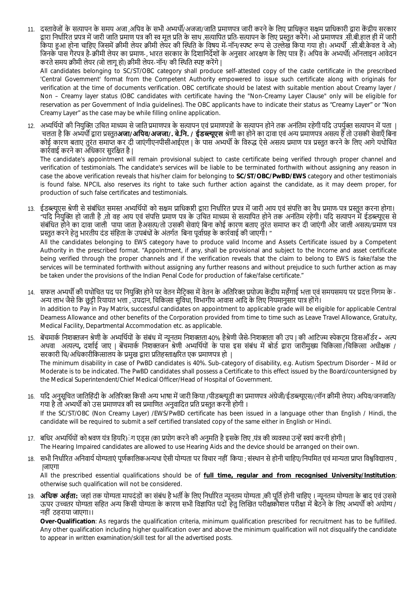11. दस्तावेजों के सत्यापन के समय अजा ,अपिव के सभी अभ्यर्थी/अजजा/जाति प्रमाणपत्र जारी करने के लिए प्राधिकत सक्षम प्राधिकारी द्वारा केंद्रीय सरकार द्रारा निर्धारित प्रपत्र में जारी जाति प्रमाण पत्र की स्व मल प्रति के साथ ,सत्यापित प्रति-सत्यापन के लिए प्रस्तत करेंगे। ओ प्रमाणपत्र .सी.बी.हाल ही में जारी किया हुआ होना चाहिए जिसमें क्रीमी लेयर क्रीमी लेयर की स्थिति के विषय में-नॉन/स्पष्ट रूप से उल्लेख किया गया हो। अभ्यर्थी .सी.बी.केवल वे ओ) जिनके पास गैरपत्र है-क्रीमी लेयर का प्रमाण-, भारत सरकार के दिशानिर्देशों के अनुसार आरक्षण के लिए पात्र हैं। अपिव के अभ्यर्थी( ऑनलाइन आवेदन करते समय क्रीमी लेयर (जो लागू हो) क्रीमी लेयर-नॉन/ की स्थिति स्पष्ट करेंगे |

All candidates belonging to SC/ST/OBC category shall produce self-attested copy of the caste certificate in the prescribed 'Central Government' format from the Competent Authority empowered to issue such certificate along with originals for verification at the time of documents verification. OBC certificate should be latest with suitable mention about Creamy layer / Non – Creamy layer status (OBC candidates with certificate having the "Non-Creamy Layer Clause" only will be eligible for reservation as per Government of India guidelines). The OBC applicants have to indicate their status as "Creamy Layer" or "Non Creamy Layer" as the case may be while filling online application.

12. अभ्यर्थियों की नियक्ति उचित माध्यम से जाति प्रमाणपत्र के सत्यापनयों के सत्यापन होने तक अनंतिम रहेगी यदि उपर्यक्त सत्यापन में पता । चलता है िक अɷथŎ Ȫारा Ůˑुत**अजा/अिपव/अजजा/. बे.िन. / ईडɲूएस** ŵेणी का होने का दावा एवं अɊ Ůमाणपũ असȑ हœ तो उसकी सेवाएँ िबना कोई कारण बताए तुरंत समाप्त कर दी जाएंगीएनपीसीआईएल | के पास अभ्यर्थी के विरुद्ध ऐसे असत्य प्रमाण पत्र प्रस्तुत करने के लिए आगे यथोचित कार्रवाई करने का अधिकार सरक्षित है |

The candidate's appointment will remain provisional subject to caste certificate being verified through proper channel and verification of testimonials. The candidate's services will be liable to be terminated forthwith without assigning any reason in case the above verification reveals that his/her claim for belonging to **SC/ST/OBC/PwBD/EWS** category and other testimonials is found false. NPCIL also reserves its right to take such further action against the candidate, as it may deem proper, for production of such false certificates and testimonials.

13. ईडब्ल्यूएस श्रेणी से संबंधित समस्त अभ्यर्थियों को सक्षम प्राधिकारी द्वारा निर्धारित प्रपत्र ऐवं आय एवं संपत्ति का वैध प्रमाण-पत्र प्रस्तुत करना होगा। "यदि नियुक्ति हो जाती है ,तो वह आय एवं संपत्ति प्रमाण पत्र के उचित माध्यम से सत्यापित होने तक अनंतिम रहेगी। यदि सत्यापन में ईडब्ल्यूएस से संबंधित होने का दावा जाली पाया जाता हैअसत्य/तो उसकी सेवाएं बिना कोई कारण बताए तुरंत समाप्त कर दी जाएंगी और जाली असत्य/प्रमाण पत्र प्रस्तुत करने हेतु भारतीय दंड संहिता के उपबंधों के अंतर्गत बिना पूर्वाग्रह के कार्रवाई की जाएगी। " All the candidates belonging to EWS category have to produce valid Income and Assets Certificate issued by a Competent Authority in the prescribed format. "Appointment, if any, shall be provisional and subject to the Income and asset certificate

being verified through the proper channels and if the verification reveals that the claim to belong to EWS is fake/false the services will be terminated forthwith without assigning any further reasons and without prejudice to such further action as may be taken under the provisions of the Indian Penal Code for production of fake/false certificate."

- 14. सफल अभ्यर्थी की यथोचित पद पर नियुक्ति होने पर वेतन मैटिक्स में वेतन के अतिरिक्त प्रयोज्य केंद्रीय महँगाई भत्ता एवं समयसमय पर प्रदत्त निगम के -अन्य लाभ जैसे कि छुट्टी रियायत भत्ता , उपदान, चिकित्सा सुविधा, विभागीय आवास आदि के लिए नियमानुसार पात्र होंगे। In addition to Pay in Pay Matrix, successful candidates on appointment to applicable grade will be eligible for applicable Central Dearness Allowance and other benefits of the Corporation provided from time to time such as Leave Travel Allowance, Gratuity, Medical Facility, Departmental Accommodation etc. as applicable.
- 15. बेंचमार्क निशक्तजन श्रेणी के अभ्यर्थियों के संबंध में न्यूनतम निशक्तता 40% हैश्रेणी जैसे-निशक्तता की उप | की आटिज्म स्पेकटम डिसऑर्डर <del>-</del> अल्प अथवा अत्यल्प, दर्शाई जाए | बेंचमार्क निशक्तजन श्रेणी अभ्यर्थियों के पास इस संबंध में बोर्ड द्वारा जारीमुख्य चिकित्सा /चिकित्सा अधीक्षक *|* सरकारी चि/अधिकारीकित्सालय के प्रमुख द्वारा प्रतिहस्ताक्षरित एक प्रमाणपत्र हो | The minimum disability in case of PwBD candidates is 40%. Sub-category of disability, e.g. Autism Spectrum Disorder – Mild or

Moderate is to be indicated. The PwBD candidates shall possess a Certificate to this effect issued by the Board/countersigned by the Medical Superintendent/Chief Medical Officer/Head of Hospital of Government.

- 16. यदि अनुसूचित जातिहिंदी के अतिरिक्त किसी अन्य भाषा में जारी किया /पीडब्ल्युडी का प्रमाणपत्र अंग्रेजी/ईडब्ल्युएस/(नॉन क्रीमी लेयर) अपिव/जनजाति/ गया है तो अभ्यर्थी को उस प्रमाणपत्र की स्व प्रमाणित अनुवादित प्रति प्रस्तत करनी होगी । If the SC/ST/OBC (Non Creamy Layer) /EWS/PwBD certificate has been issued in a language other than English / Hindi, the candidate will be required to submit a self certified translated copy of the same either in English or Hindi.
- 17. बधिर अभ्यर्थियों को श्रवण यंत्र हियरि)ंग एडस (का प्रयोग करने की अनुमति है इसके लिए ,यंत्र की व्यवस्था उन्हें स्वयं करनी होगी | The Hearing Impaired candidates are allowed to use Hearing Aids and the device should be arranged on their own.
- 18. सभी निर्धारित अनिवार्य योग्यताएं पूर्णकालिकअन्यथा ऐसी योग्यता पर विचार नहीं किया ; संस्थान से होनी चाहिए/नियमित एवं मान्यता प्राप्त विश्वविद्यालय , |जाएगा

All the prescribed essential qualifications should be of **full time, regular and from recognised University/Institution**; otherwise such qualification will not be considered.

19. **अधिक अर्हता:** जहां तक योग्यता मापदंडों का संबंध है भर्ती के लिए निर्धारित न्यूनतम योग्यता ,की पूर्ति होनी चाहिए । न्यूनतम योग्यता के बाद एवं उससे ऊपर उच्चतर योग्यता सहित अन्य किसी योग्यता के कारण सभी विज्ञापित पदों हेतु लिखित परीक्षाकौशल परीक्षा में बैठने के लिए अभ्यर्थी को अयोग्य / नहीं ठहराया जाएगा।।

**Over-Qualification**: As regards the qualification criteria, minimum qualification prescribed for recruitment has to be fulfilled. Any other qualification including higher qualification over and above the minimum qualification will not disqualify the candidate to appear in written examination/skill test for all the advertised posts.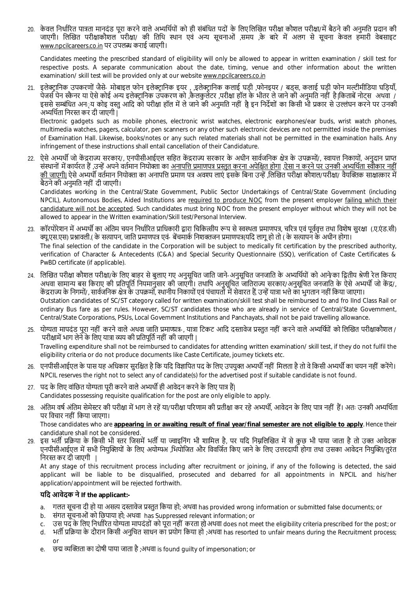20. केवल निर्धारित पात्रता मानदंड परा करने वाले अभ्यर्थियों को ही संबंधित पदों के लिए लिखित परीक्षा कौशल परीक्षा/में बैठने की अनमति प्रदान की जाएगी। लिखित परीक्षाकौशल परीक्षा/ की तिथि स्थान एवं अन्य सचनाओं ,समय के बारे में अलग से सचना केवल हमारी वेबसाइट www.npcilcareers.co.in पर उपलɩ कराई जाएगी।

Candidates meeting the prescribed standard of eligibility will only be allowed to appear in written examination / skill test for respective posts. A separate communication about the date, timing, venue and other information about the written examination/ skill test will be provided only at our website www.npcilcareers.co.in

21. इलेक्ट्रानिक उपकरणों जैसे- मोबाइल फोन इलेक्ट्रानिक इयर , ,इलेक्ट्रानिक कलाई घड़ी ,फोनइयर / बड्स, कलाई घड़ी फोन मल्टीमीडिया घड़ियाँ, पेजर्स पेन स्कैनर या ऐसे कोई अन्य इलेक्टानिक उपकरण को ,कैलकुलेटर ,परीक्षा हॉल के भीतर ले जाने की अनुमति नहीं है।किताबें नोट्स अथवा / इससे सम्बंधित अन**्य कोइ वस्त आदि को परीक्षा हॉल में ले** जाने की अनुमति नहीं है इन निर्देशों का किसी भी प्रकार से उल्लंघन करने पर उनकी अभ्यर्थिता निरस्त कर दी जाएगी |

Electronic gadgets such as mobile phones, electronic wrist watches, electronic earphones/ear buds, wrist watch phones, multimedia watches, pagers, calculator, pen scanners or any other such electronic devices are not permitted inside the premises of Examination Hall. Likewise, books/notes or any such related materials shall not be permitted in the examination halls. Any infringement of these instructions shall entail cancellation of their Candidature.

22. ऐसे अभ्यर्थी जो केंद्रराज्य सरकार/, एनपीसीआईएल सहित केंद्रराज्य सरकार के अधीन सार्वजनिक क्षेत्र के उपक्रमों/, स्वायत्त निकायों, अनुदान प्राप्त संस्थानों में कार्यरत हैं ,उन्हें अपने वर्तमान नियोक्ता का अनापत्ति प्रमाणपत्र प्रस्तत करना अपेक्षित होगा ,ऐसा न करने पर उनकी अभ्यर्थिता स्वीकार नहीं की जाएगी| ऐसे अभ्यर्थी वर्तमान नियोक्ता का अनापत्ति प्रमाण पत्र अवश्य लाएं इसके बिना उन्हें ,लिखित परीक्षा कौशल/परीक्षा/ वैयक्तिक साक्षात्कार में बैठनेकी अनुमित नहीं दी जाएगी।

Candidates working in the Central/State Government, Public Sector Undertakings of Central/State Government (including NPCIL), Autonomous Bodies, Aided Institutions are required to produce NOC from the present employer failing which their candidature will not be accepted. Such candidates must bring NOC from the present employer without which they will not be allowed to appear in the Written examination/Skill test/Personal Interview.

- 23. कॉरपोरेशन में अभ्यर्थी का अंतिम चयन निर्धारित प्राधिकारी द्रारा चिकित्सीय रूप से स्वस्थता प्रमाणपत्र, चरित्र एवं पर्ववत्त तथा विशेष सुरक्षा (.ए.एं.ड.सी) क्यू.एस.एस) प्रश्नावली.( के सत्यापन, जाति प्रमाणपत्र एवं- बेंचमार्क निशक्तजन प्रमाणपत्र(यदि लागू हो तो ( के सत्यापन के अधीन होगा। The final selection of the candidate in the Corporation will be subject to medically fit certification by the prescribed authority, verification of Character & Antecedents (C&A) and Special Security Questionnaire (SSQ), verification of Caste Certificates & PwBD certificate (if applicable).
- 24. लिखित परीक्षा कौशल परीक्षा/के लिए बाहर से बुलाए गए अनुसूचित जाति जाने-अनुसूचित जनजाति के अभ्यर्थियों को आने/का द्वितीय श्रेणी रेल किराए अथवा सामान्य बस किराए की प्रतिपूर्ति नियमानुसार की जाएगी। तथापि अनुसूचित जातिराज्य सरकार/अनुसूचित जनजाति के ऐसे अभ्यर्थी जो केंद्र/, केंद्रराज्य के निगमों/, सार्वजनिक क्षेत्र के उपक्रमों, स्थानीय निकायों एवं पंचायतों में सेवारत हैं, उन्हें यात्रा भत्ते का भुगतान नहीं किया जाएगा। Outstation candidates of SC/ST category called for written examination/skill test shall be reimbursed to and fro IInd Class Rail or ordinary Bus fare as per rules. However, SC/ST candidates those who are already in service of Central/State Government, Central/State Corporations, PSUs, Local Government Institutions and Panchayats, shall not be paid travelling allowance.
- 25. योग्यता मापदंड पूरा नहीं करने वाले अथवा जाति प्रमाणपत्र-, यात्रा टिकट आदि दस्तावेज प्रस्तुत नहीं करने वाले अभ्यर्थियों को लिखित परीक्षाकौशल / परीक्षामें भाग लेने के लिए यात्रा व्यय की प्रतिपूर्ति नहीं की जाएगी | Travelling expenditure shall not be reimbursed to candidates for attending written examination/ skill test, if they do not fulfil the eligibility criteria or do not produce documents like Caste Certificate, journey tickets etc.
- 26. एनपीसीआईएल के पास यह अधिकार सुरक्षित है कि यदि विज्ञापित पद के लिए उपयुक्त अभ्यर्थी नहीं मिलता है तो वे किसी अभ्यर्थी का चयन नहीं करेंगे। NPCIL reserves the right not to select any of candidate(s) for the advertised post if suitable candidate is not found.
- 27. पद के लिए वांछित योग्यता पूरी करने वाले अभ्यर्थी ही आवेदन करने के लिए पात्र हैं। Candidates possessing requisite qualification for the post are only eligible to apply.
- 28. अंतिम वर्ष अंतिम सेमेस्टर की परीक्षा में भाग ले रहें या/परीक्षा परिणाम की प्रतीक्षा कर रहे अभ्यर्थी, आवेदन के लिए पात्र नहीं हैं। अतः उनकी अभ्यर्थिता पर िवचार नहीं िकया जाएगा।

Those candidates who are **appearing in or awaiting result of final year/final semester are not eligible to apply**. Hence their candidature shall not be considered.

29. इस भर्ती प्रक्रिया के किसी भी स्तर जिसमें भर्ती या ज्वाइनिंग भी शामिल है, पर यदि निम्नलिखित में से कुछ भी पाया जाता है तो उक्त आवेदक एनपीसीआईएल में सभी नियक्तियों के लिए अयोग्यअ ,भियोजित और विवर्जित किए जाने के लिए उत्तरदायी होगा तथा उसका आवेदन नियक्ति/तरंत निरस्त कर दी जाएगी |

At any stage of this recruitment process including after recruitment or joining, if any of the following is detected, the said applicant will be liable to be disqualified, prosecuted and debarred for all appointments in NPCIL and his/her application/appointment will be rejected forthwith.

## **यिद आवेदक ने If the applicant:-**

- a. गलत सूचना दी हो या असत्य दस्तावेज प्रस्तुत किया हो; अथवा has provided wrong information or submitted false documents; or
- b. संगत सूचनाओं को िछपाया हो; अथवा has Suppressed relevant information; or
- c. उस पद के लिए निर्धारित योग्यता मापदंडों को पूरा नहीं करता हो अथवा does not meet the eligibility criteria prescribed for the post; or
- d. भर्ती प्रक्रिया के दौरान किसी अनुचित साधन का प्रयोग किया हो ;अथवा has resorted to unfair means during the Recruitment process; or
- e. छद्म व्यक्तिता का दोषी पाया जाता है ;अथवा is found quilty of impersonation; or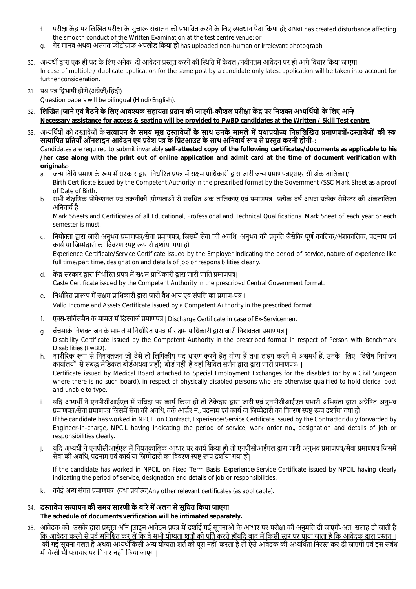- f. परीक्षा केंद्र पर लिखित परीक्षा के सचारू संचालन को प्रभावित करने के लिए व्यवधान पैदा किया हो; अथवा has created disturbance affecting the smooth conduct of the Written Examination at the test centre venue; or
- g. गैर मानव अथवा असंगत फोटोग्राफ अपलोड किया हो has uploaded non-human or irrelevant photograph
- 30. अभ्यर्थी द्वारा एक ही पद के लिए अनेक दो आवेदन प्रस्तुत करने की स्थिति में केवल /नवीनतम आवेदन पर ही आगे विचार किया जाएगा । In case of multiple / duplicate application for the same post by a candidate only latest application will be taken into account for further consideration.
- 31. प्रश्न पत्र द्विभाषी होंगें (अंग्रेजी/हिंदी)

Question papers will be bilingual (Hindi/English).

- 32. **िलİखत |जाने एवं बैठने के िलए आवʴक सहायता Ůदान की जाएगी -कौशल परीƗा कŐ ū पर िनशƅ अɷिथŊयों के िलए आने/ Necessary assistance for access & seating will be provided to PwBD candidates at the Written / Skill Test centre**.
- 33. अभ्यर्थियों को दस्तावेजों के **सत्यापन के समय मल दस्तावेजों के साथ उनके मामले में यथाप्रयोज्य निम्रलिखित प्रमाणपत्रों-दस्तावेजों की स्व⁄** सत्यापित प्रतियाँ ऑनलाइन आवेदन एवं प्रवेश पत्र के प्रिंटआउट के साथ अनिवार्य रूप से प्रस्तुत करनी होगी-: Candidates are required to submit invariably **self-attested copy of the following certificates/documents as applicable to his /her case along with the print out of online application and admit card at the time of document verification with**

**originals**:-

- a. ँ जन्म तिथि प्रमाण के रूप में सरकार द्वारा निर्धारित प्रपत्र में सक्षम प्राधिकारी द्वारा जारी जन्म प्रमाणपत्रएसएससी अंक तालिका।/ Birth Certificate issued by the Competent Authority in the prescribed format by the Government /SSC Mark Sheet as a proof of Date of Birth.
- b. सभी शैक्षणिक प्रोफेशनल एवं तकनीकी ,योग्यताओं से संबंधित अंक तालिकाएं एवं प्रमाणपत्र। प्रत्येक वर्ष अथवा प्रत्येक सेमेस्टर की अंकतालिका अनिवार्य है।

Mark Sheets and Certificates of all Educational, Professional and Technical Qualifications. Mark Sheet of each year or each semester is must.

- c. नियोक्ता द्वारा जारी अनभव प्रमाणपत्र/सेवा प्रमाणपत्र, जिसमें सेवा की अवधि, अनभव की प्रकति जैसेकि पर्ण कालिक/अंशकालिक, पदनाम एवं कार्य या जिम्मेदारी का विवरण स्पष्ट रूप से दर्शाया गया हो। Experience Certificate/Service Certificate issued by the Employer indicating the period of service, nature of experience like full time/part time, designation and details of job or responsibilities clearly.
- d. केंद्र सरकार द्रारा निर्धारित प्रपत्र में सक्षम प्राधिकारी द्रारा जारी जाति प्रमाणपत्र। Caste Certificate issued by the Competent Authority in the prescribed Central Government format.
- e. निर्धारित प्रारूप में सक्षम प्राधिकारी द्वारा जारी वैध आय एवं संपत्ति का प्रमाण-पत्र ।

Valid Income and Assets Certificate issued by a Competent Authority in the prescribed format.

- f. एक्स-सर्विसमैन के मामले में डिस्चार्ज प्रमाणपत्र | Discharge Certificate in case of Ex-Servicemen.
- g. बेंचमार्क निशक्त जन के मामले में निर्धारित प्रपत्र में सक्षम प्राधिकारी द्वारा जारी निशक्तता प्रमाणपत्र |

Disability Certificate issued by the Competent Authority in the prescribed format in respect of Person with Benchmark Disabilities (PwBD).

- h. शारीरिक रूप से निशक्तजन जो वैसे तो लिपिकीय पद धारण करने हेतु योग्य हैं तथा टाइप करने में असमर्थ हैं, उनके लिए विशेष नियोजन कार्यालयों से संबद्ध मेडिकल बोर्डअथवा जहाँ) बोर्ड नहीं है वहां सिविल सर्जन द्वारा द्वारा जारी प्रमाणपत्र- | Certificate issued by Medical Board attached to Special Employment Exchanges for the disabled (or by a Civil Surgeon where there is no such board), in respect of physically disabled persons who are otherwise qualified to hold clerical post and unable to type.
- i. यदि अभ्यर्थी ने एनपीसीआईएल में संविदा पर कार्य किया हो तो ठेकेदार द्वारा जारी एवं एनपीसीआईएल प्रभारी अभियंता द्वारा अग्रेषित अनुभव प्रमाणपत्र/सेवा प्रमाणपत्र जिसमें सेवा की अवधि, वर्क आर्डर नं.. पदनाम एवं कार्य या जिम्मेदारी का विवरण स्पष्ट रूप दर्शाया गया हो। If the candidate has worked in NPCIL on Contract, Experience/Service Certificate issued by the Contractor duly forwarded by Engineer-in-charge, NPCIL having indicating the period of service, work order no., designation and details of job or responsibilities clearly.
- j. यदि अभ्यर्थी ने एनपीसीआईएल में नियतकालिक आधार पर कार्य किया हो तो एनपीसीआईएल द्वारा जारी अनुभव प्रमाणपत्र/सेवा प्रमाणपत्र जिसमें सेवा की अवधि, पदनाम एवं कार्य या जिम्मेदारी का विवरण स्पष्ट रूप दर्शाया गया हो|

If the candidate has worked in NPCIL on Fixed Term Basis, Experience/Service Certificate issued by NPCIL having clearly indicating the period of service, designation and details of job or responsibilities.

k. कोई अन्य संगत प्रमाणपत्र (यथा प्रयोज्य)Any other relevant certificates (as applicable).

## 34. **दस्तावेज सत्यापन की समय सारणी के बारे में अलग से सूचित किया जाएगा | The schedule of documents verification will be intimated separately.**

35. आवेदक को उसके द्वारा प्रस्तुत ऑन |लाइन आवेदन प्रपत्र में दर्शाई गई सूचनाओं के आधार पर परीक्षा की अनमति दी जाएगी-अतः सलाह दी जाती है िक आवेदन करने से पूर्व सुनिश्चित कर ले कि वे सभी योग्यता शर्तों की पूर्ति करते होंयदि बाद में किसी स्तर पर पाया जाता है कि आवेदक द्वारा प्रस्तत । की गई सूचना गलत हैं अथवा अभ्यर्थीकिसी अन्य योग्यता शर्त को पूरा नहीं करता है तो ऐसे आवेदक की अभ्यर्थिता निरस्त कर दी जाएगी एवं इस संबंध में किसी भी पत्राचार पर विचार नहीं किया जाएगा।